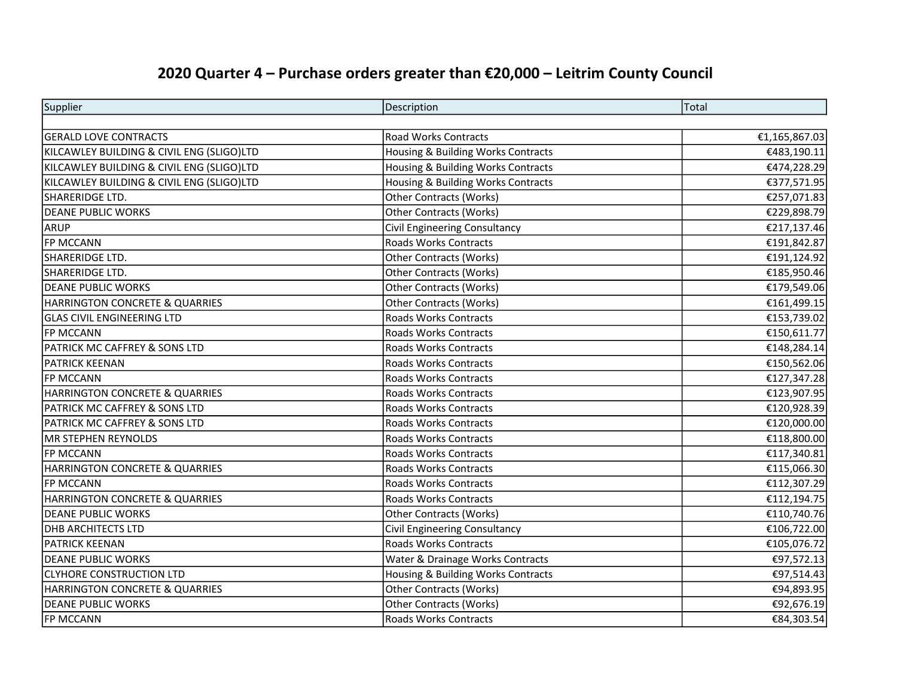| Supplier                                  | Description                        | Total         |
|-------------------------------------------|------------------------------------|---------------|
|                                           |                                    |               |
| <b>GERALD LOVE CONTRACTS</b>              | <b>Road Works Contracts</b>        | €1,165,867.03 |
| KILCAWLEY BUILDING & CIVIL ENG (SLIGO)LTD | Housing & Building Works Contracts | €483,190.11   |
| KILCAWLEY BUILDING & CIVIL ENG (SLIGO)LTD | Housing & Building Works Contracts | €474,228.29   |
| KILCAWLEY BUILDING & CIVIL ENG (SLIGO)LTD | Housing & Building Works Contracts | €377,571.95   |
| SHARERIDGE LTD.                           | <b>Other Contracts (Works)</b>     | €257,071.83   |
| <b>DEANE PUBLIC WORKS</b>                 | Other Contracts (Works)            | €229,898.79   |
| <b>ARUP</b>                               | Civil Engineering Consultancy      | €217,137.46   |
| <b>FP MCCANN</b>                          | <b>Roads Works Contracts</b>       | €191,842.87   |
| SHARERIDGE LTD.                           | <b>Other Contracts (Works)</b>     | €191,124.92   |
| SHARERIDGE LTD.                           | <b>Other Contracts (Works)</b>     | €185,950.46   |
| <b>DEANE PUBLIC WORKS</b>                 | <b>Other Contracts (Works)</b>     | €179,549.06   |
| <b>HARRINGTON CONCRETE &amp; QUARRIES</b> | <b>Other Contracts (Works)</b>     | €161,499.15   |
| <b>GLAS CIVIL ENGINEERING LTD</b>         | Roads Works Contracts              | €153,739.02   |
| <b>FP MCCANN</b>                          | Roads Works Contracts              | €150,611.77   |
| PATRICK MC CAFFREY & SONS LTD             | <b>Roads Works Contracts</b>       | €148,284.14   |
| <b>PATRICK KEENAN</b>                     | <b>Roads Works Contracts</b>       | €150,562.06   |
| <b>FP MCCANN</b>                          | <b>Roads Works Contracts</b>       | €127,347.28   |
| HARRINGTON CONCRETE & QUARRIES            | <b>Roads Works Contracts</b>       | €123,907.95   |
| <b>PATRICK MC CAFFREY &amp; SONS LTD</b>  | <b>Roads Works Contracts</b>       | €120,928.39   |
| <b>PATRICK MC CAFFREY &amp; SONS LTD</b>  | <b>Roads Works Contracts</b>       | €120,000.00   |
| MR STEPHEN REYNOLDS                       | <b>Roads Works Contracts</b>       | €118,800.00   |
| <b>FP MCCANN</b>                          | <b>Roads Works Contracts</b>       | €117,340.81   |
| HARRINGTON CONCRETE & QUARRIES            | <b>Roads Works Contracts</b>       | €115,066.30   |
| <b>FP MCCANN</b>                          | <b>Roads Works Contracts</b>       | €112,307.29   |
| <b>HARRINGTON CONCRETE &amp; QUARRIES</b> | <b>Roads Works Contracts</b>       | €112,194.75   |
| <b>DEANE PUBLIC WORKS</b>                 | <b>Other Contracts (Works)</b>     | €110,740.76   |
| <b>DHB ARCHITECTS LTD</b>                 | Civil Engineering Consultancy      | €106,722.00   |
| <b>PATRICK KEENAN</b>                     | <b>Roads Works Contracts</b>       | €105,076.72   |
| <b>DEANE PUBLIC WORKS</b>                 | Water & Drainage Works Contracts   | €97,572.13    |
| <b>CLYHORE CONSTRUCTION LTD</b>           | Housing & Building Works Contracts | €97,514.43    |
| <b>HARRINGTON CONCRETE &amp; QUARRIES</b> | <b>Other Contracts (Works)</b>     | €94,893.95    |
| <b>DEANE PUBLIC WORKS</b>                 | Other Contracts (Works)            | €92,676.19    |
| <b>FP MCCANN</b>                          | <b>Roads Works Contracts</b>       | €84,303.54    |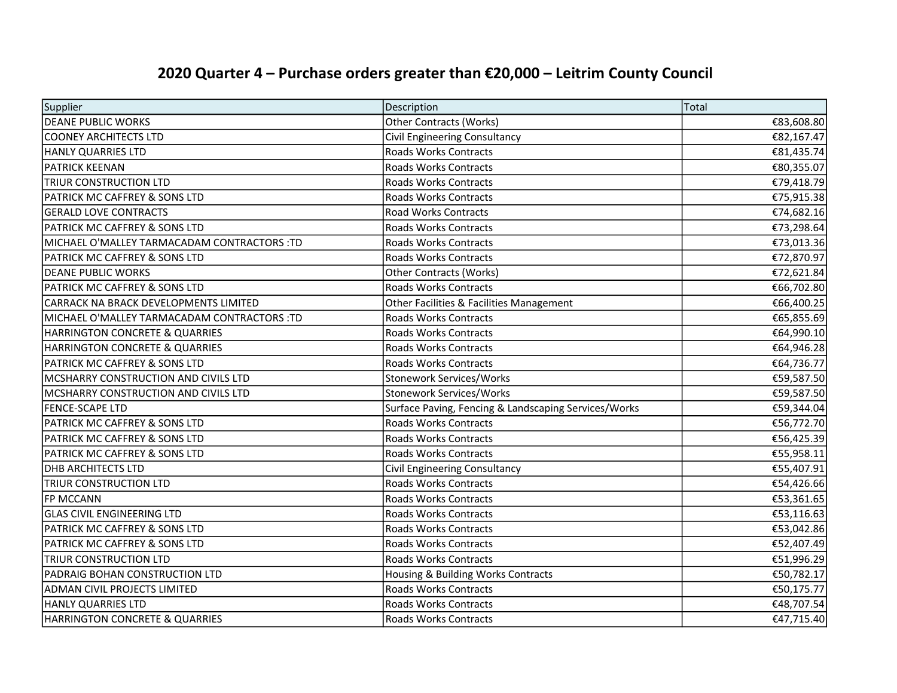| Supplier                                    | Description                                          | Total      |
|---------------------------------------------|------------------------------------------------------|------------|
| DEANE PUBLIC WORKS                          | <b>Other Contracts (Works)</b>                       | €83,608.80 |
| <b>COONEY ARCHITECTS LTD</b>                | <b>Civil Engineering Consultancy</b>                 | €82,167.47 |
| HANLY QUARRIES LTD                          | Roads Works Contracts                                | €81,435.74 |
| <b>PATRICK KEENAN</b>                       | <b>Roads Works Contracts</b>                         | €80,355.07 |
| <b>TRIUR CONSTRUCTION LTD</b>               | <b>Roads Works Contracts</b>                         | €79,418.79 |
| <b>PATRICK MC CAFFREY &amp; SONS LTD</b>    | <b>Roads Works Contracts</b>                         | €75,915.38 |
| <b>GERALD LOVE CONTRACTS</b>                | <b>Road Works Contracts</b>                          | €74,682.16 |
| IPATRICK MC CAFFREY & SONS LTD              | Roads Works Contracts                                | €73,298.64 |
| MICHAEL O'MALLEY TARMACADAM CONTRACTORS :TD | <b>Roads Works Contracts</b>                         | €73,013.36 |
| <b>PATRICK MC CAFFREY &amp; SONS LTD</b>    | <b>Roads Works Contracts</b>                         | €72,870.97 |
| <b>DEANE PUBLIC WORKS</b>                   | Other Contracts (Works)                              | €72,621.84 |
| <b>PATRICK MC CAFFREY &amp; SONS LTD</b>    | Roads Works Contracts                                | €66,702.80 |
| CARRACK NA BRACK DEVELOPMENTS LIMITED       | Other Facilities & Facilities Management             | €66,400.25 |
| MICHAEL O'MALLEY TARMACADAM CONTRACTORS :TD | Roads Works Contracts                                | €65,855.69 |
| HARRINGTON CONCRETE & QUARRIES              | Roads Works Contracts                                | €64,990.10 |
| HARRINGTON CONCRETE & QUARRIES              | Roads Works Contracts                                | €64,946.28 |
| PATRICK MC CAFFREY & SONS LTD               | Roads Works Contracts                                | €64,736.77 |
| MCSHARRY CONSTRUCTION AND CIVILS LTD        | Stonework Services/Works                             | €59,587.50 |
| MCSHARRY CONSTRUCTION AND CIVILS LTD        | Stonework Services/Works                             | €59,587.50 |
| <b>FENCE-SCAPE LTD</b>                      | Surface Paving, Fencing & Landscaping Services/Works | €59,344.04 |
| PATRICK MC CAFFREY & SONS LTD               | <b>Roads Works Contracts</b>                         | €56,772.70 |
| PATRICK MC CAFFREY & SONS LTD               | <b>Roads Works Contracts</b>                         | €56,425.39 |
| PATRICK MC CAFFREY & SONS LTD               | <b>Roads Works Contracts</b>                         | €55,958.11 |
| <b>DHB ARCHITECTS LTD</b>                   | Civil Engineering Consultancy                        | €55,407.91 |
| TRIUR CONSTRUCTION LTD                      | <b>Roads Works Contracts</b>                         | €54,426.66 |
| <b>FP MCCANN</b>                            | <b>Roads Works Contracts</b>                         | €53,361.65 |
| <b>GLAS CIVIL ENGINEERING LTD</b>           | <b>Roads Works Contracts</b>                         | €53,116.63 |
| <b>PATRICK MC CAFFREY &amp; SONS LTD</b>    | <b>Roads Works Contracts</b>                         | €53,042.86 |
| <b>PATRICK MC CAFFREY &amp; SONS LTD</b>    | <b>Roads Works Contracts</b>                         | €52,407.49 |
| <b>TRIUR CONSTRUCTION LTD</b>               | Roads Works Contracts                                | €51,996.29 |
| PADRAIG BOHAN CONSTRUCTION LTD              | Housing & Building Works Contracts                   | €50,782.17 |
| <b>ADMAN CIVIL PROJECTS LIMITED</b>         | <b>Roads Works Contracts</b>                         | €50,175.77 |
| <b>HANLY QUARRIES LTD</b>                   | Roads Works Contracts                                | €48,707.54 |
| HARRINGTON CONCRETE & QUARRIES              | <b>Roads Works Contracts</b>                         | €47,715.40 |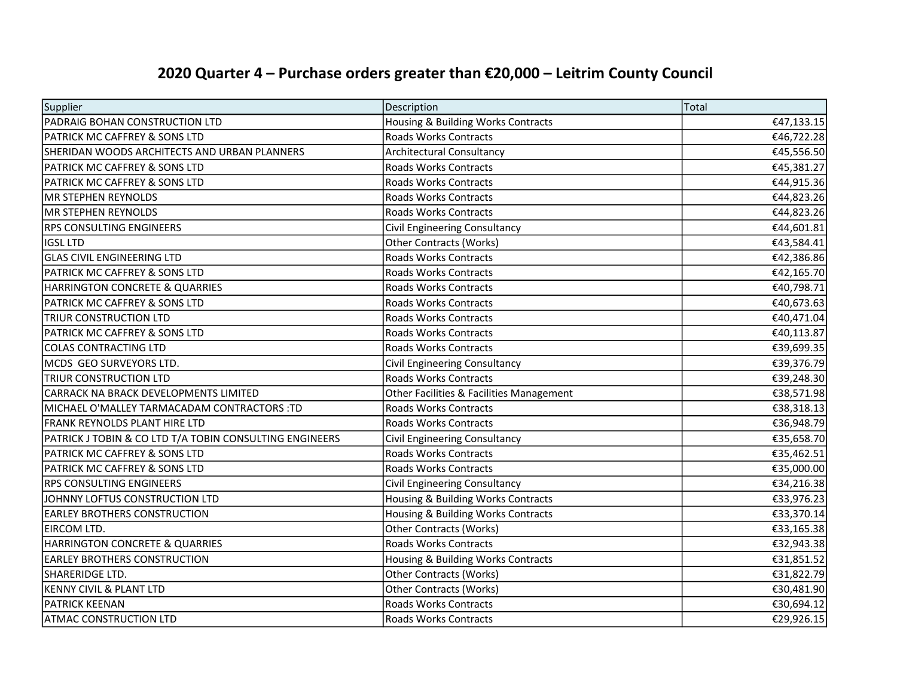| Supplier                                                | Description                              | Total      |
|---------------------------------------------------------|------------------------------------------|------------|
| PADRAIG BOHAN CONSTRUCTION LTD                          | Housing & Building Works Contracts       | €47,133.15 |
| <b>PATRICK MC CAFFREY &amp; SONS LTD</b>                | <b>Roads Works Contracts</b>             | €46,722.28 |
| SHERIDAN WOODS ARCHITECTS AND URBAN PLANNERS            | Architectural Consultancy                | €45,556.50 |
| <b>PATRICK MC CAFFREY &amp; SONS LTD</b>                | <b>Roads Works Contracts</b>             | €45,381.27 |
| <b>PATRICK MC CAFFREY &amp; SONS LTD</b>                | <b>Roads Works Contracts</b>             | €44,915.36 |
| MR STEPHEN REYNOLDS                                     | <b>Roads Works Contracts</b>             | €44,823.26 |
| MR STEPHEN REYNOLDS                                     | <b>Roads Works Contracts</b>             | €44,823.26 |
| <b>RPS CONSULTING ENGINEERS</b>                         | Civil Engineering Consultancy            | €44,601.81 |
| <b>IGSL LTD</b>                                         | Other Contracts (Works)                  | €43,584.41 |
| <b>GLAS CIVIL ENGINEERING LTD</b>                       | <b>Roads Works Contracts</b>             | €42,386.86 |
| PATRICK MC CAFFREY & SONS LTD                           | <b>Roads Works Contracts</b>             | €42,165.70 |
| <b>HARRINGTON CONCRETE &amp; QUARRIES</b>               | <b>Roads Works Contracts</b>             | €40,798.71 |
| <b>PATRICK MC CAFFREY &amp; SONS LTD</b>                | <b>Roads Works Contracts</b>             | €40,673.63 |
| <b>TRIUR CONSTRUCTION LTD</b>                           | <b>Roads Works Contracts</b>             | €40,471.04 |
| PATRICK MC CAFFREY & SONS LTD                           | <b>Roads Works Contracts</b>             | €40,113.87 |
| <b>COLAS CONTRACTING LTD</b>                            | Roads Works Contracts                    | €39,699.35 |
| MCDS GEO SURVEYORS LTD.                                 | Civil Engineering Consultancy            | €39,376.79 |
| <b>TRIUR CONSTRUCTION LTD</b>                           | <b>Roads Works Contracts</b>             | €39,248.30 |
| CARRACK NA BRACK DEVELOPMENTS LIMITED                   | Other Facilities & Facilities Management | €38,571.98 |
| MICHAEL O'MALLEY TARMACADAM CONTRACTORS :TD             | Roads Works Contracts                    | €38,318.13 |
| FRANK REYNOLDS PLANT HIRE LTD                           | <b>Roads Works Contracts</b>             | €36,948.79 |
| PATRICK J TOBIN & CO LTD T/A TOBIN CONSULTING ENGINEERS | Civil Engineering Consultancy            | €35,658.70 |
| PATRICK MC CAFFREY & SONS LTD                           | Roads Works Contracts                    | €35,462.51 |
| PATRICK MC CAFFREY & SONS LTD                           | <b>Roads Works Contracts</b>             | €35,000.00 |
| <b>RPS CONSULTING ENGINEERS</b>                         | Civil Engineering Consultancy            | €34,216.38 |
| JOHNNY LOFTUS CONSTRUCTION LTD                          | Housing & Building Works Contracts       | €33,976.23 |
| <b>EARLEY BROTHERS CONSTRUCTION</b>                     | Housing & Building Works Contracts       | €33,370.14 |
| EIRCOM LTD.                                             | <b>Other Contracts (Works)</b>           | €33,165.38 |
| <b>HARRINGTON CONCRETE &amp; QUARRIES</b>               | Roads Works Contracts                    | €32,943.38 |
| <b>EARLEY BROTHERS CONSTRUCTION</b>                     | Housing & Building Works Contracts       | €31,851.52 |
| SHARERIDGE LTD.                                         | <b>Other Contracts (Works)</b>           | €31,822.79 |
| <b>KENNY CIVIL &amp; PLANT LTD</b>                      | <b>Other Contracts (Works)</b>           | €30,481.90 |
| <b>PATRICK KEENAN</b>                                   | Roads Works Contracts                    | €30,694.12 |
| <b>ATMAC CONSTRUCTION LTD</b>                           | <b>Roads Works Contracts</b>             | €29,926.15 |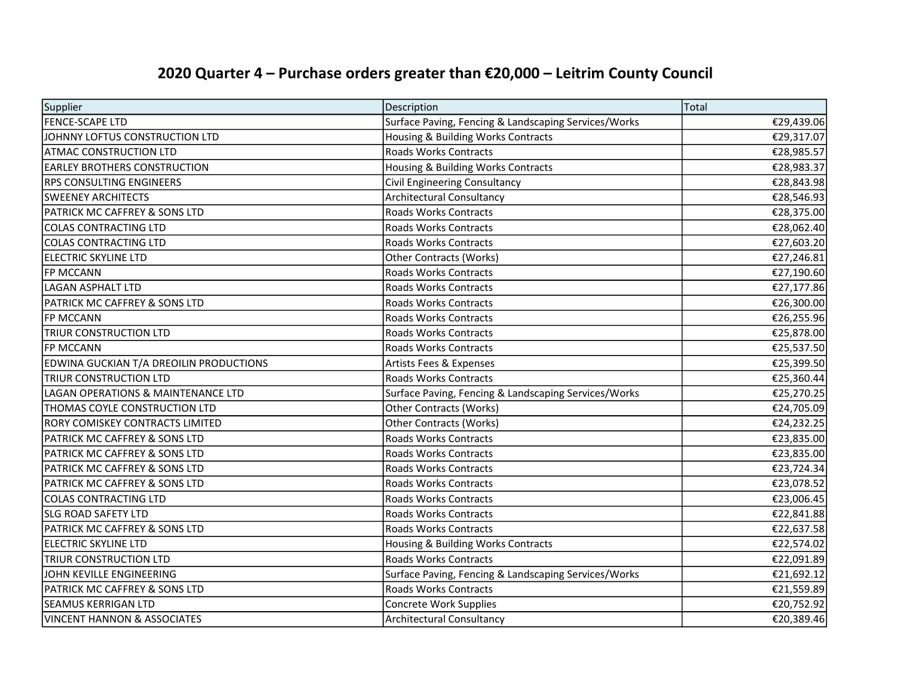| Supplier                                      | Description                                          | Total      |
|-----------------------------------------------|------------------------------------------------------|------------|
| <b>FENCE-SCAPE LTD</b>                        | Surface Paving, Fencing & Landscaping Services/Works | €29,439.06 |
| JOHNNY LOFTUS CONSTRUCTION LTD                | Housing & Building Works Contracts                   | €29,317.07 |
| <b>ATMAC CONSTRUCTION LTD</b>                 | Roads Works Contracts                                | €28,985.57 |
| <b>EARLEY BROTHERS CONSTRUCTION</b>           | Housing & Building Works Contracts                   | €28,983.37 |
| <b>RPS CONSULTING ENGINEERS</b>               | Civil Engineering Consultancy                        | €28,843.98 |
| <b>SWEENEY ARCHITECTS</b>                     | <b>Architectural Consultancy</b>                     | €28,546.93 |
| PATRICK MC CAFFREY & SONS LTD                 | Roads Works Contracts                                | €28,375.00 |
| <b>COLAS CONTRACTING LTD</b>                  | Roads Works Contracts                                | €28,062.40 |
| COLAS CONTRACTING LTD                         | Roads Works Contracts                                | €27,603.20 |
| ELECTRIC SKYLINE LTD                          | <b>Other Contracts (Works)</b>                       | €27,246.81 |
| <b>FP MCCANN</b>                              | Roads Works Contracts                                | €27,190.60 |
| LAGAN ASPHALT LTD                             | <b>Roads Works Contracts</b>                         | €27,177.86 |
| PATRICK MC CAFFREY & SONS LTD                 | <b>Roads Works Contracts</b>                         | €26,300.00 |
| <b>FP MCCANN</b>                              | <b>Roads Works Contracts</b>                         | €26,255.96 |
| TRIUR CONSTRUCTION LTD                        | Roads Works Contracts                                | €25,878.00 |
| <b>FP MCCANN</b>                              | <b>Roads Works Contracts</b>                         | €25,537.50 |
| EDWINA GUCKIAN T/A DREOILIN PRODUCTIONS       | <b>Artists Fees &amp; Expenses</b>                   | €25,399.50 |
| <b>TRIUR CONSTRUCTION LTD</b>                 | <b>Roads Works Contracts</b>                         | €25,360.44 |
| <b>LAGAN OPERATIONS &amp; MAINTENANCE LTD</b> | Surface Paving, Fencing & Landscaping Services/Works | €25,270.25 |
| THOMAS COYLE CONSTRUCTION LTD                 | <b>Other Contracts (Works)</b>                       | €24,705.09 |
| RORY COMISKEY CONTRACTS LIMITED               | <b>Other Contracts (Works)</b>                       | €24,232.25 |
| PATRICK MC CAFFREY & SONS LTD                 | Roads Works Contracts                                | €23,835.00 |
| PATRICK MC CAFFREY & SONS LTD                 | Roads Works Contracts                                | €23,835.00 |
| <b>PATRICK MC CAFFREY &amp; SONS LTD</b>      | <b>Roads Works Contracts</b>                         | €23,724.34 |
| <b>PATRICK MC CAFFREY &amp; SONS LTD</b>      | Roads Works Contracts                                | €23,078.52 |
| COLAS CONTRACTING LTD                         | <b>Roads Works Contracts</b>                         | €23,006.45 |
| <b>SLG ROAD SAFETY LTD</b>                    | <b>Roads Works Contracts</b>                         | €22,841.88 |
| <b>PATRICK MC CAFFREY &amp; SONS LTD</b>      | <b>Roads Works Contracts</b>                         | €22,637.58 |
| ELECTRIC SKYLINE LTD                          | Housing & Building Works Contracts                   | €22,574.02 |
| <b>TRIUR CONSTRUCTION LTD</b>                 | Roads Works Contracts                                | €22,091.89 |
| JOHN KEVILLE ENGINEERING                      | Surface Paving, Fencing & Landscaping Services/Works | €21,692.12 |
| PATRICK MC CAFFREY & SONS LTD                 | <b>Roads Works Contracts</b>                         | €21,559.89 |
| <b>SEAMUS KERRIGAN LTD</b>                    | <b>Concrete Work Supplies</b>                        | €20,752.92 |
| <b>VINCENT HANNON &amp; ASSOCIATES</b>        | Architectural Consultancy                            | €20,389.46 |